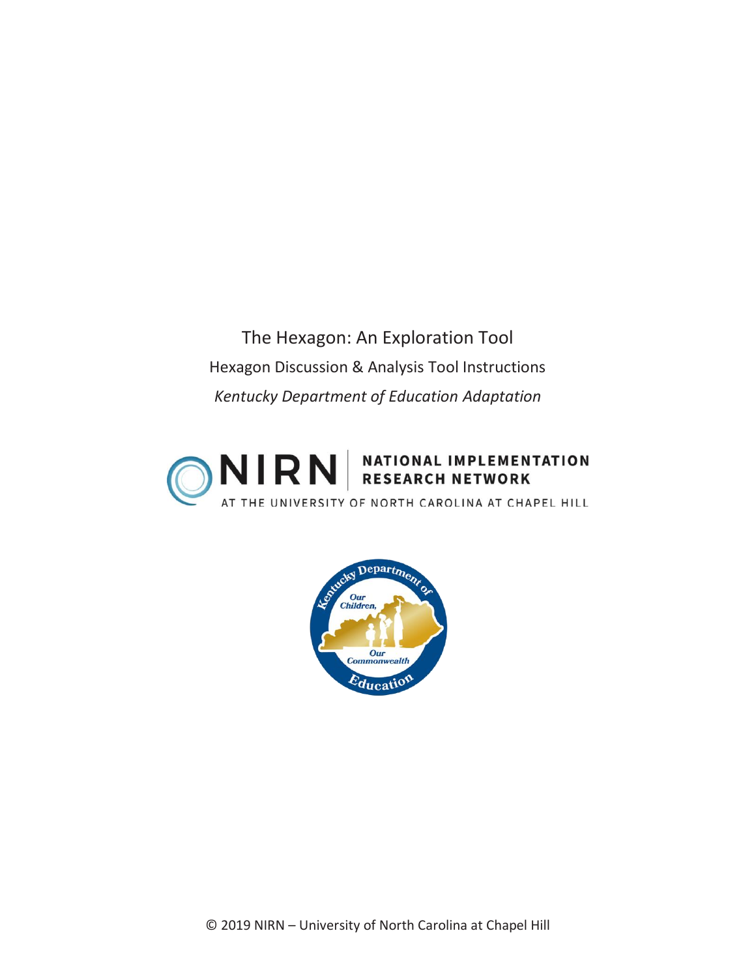The Hexagon: An Exploration Tool Hexagon Discussion & Analysis Tool Instructions *Kentucky Department of Education Adaptation*



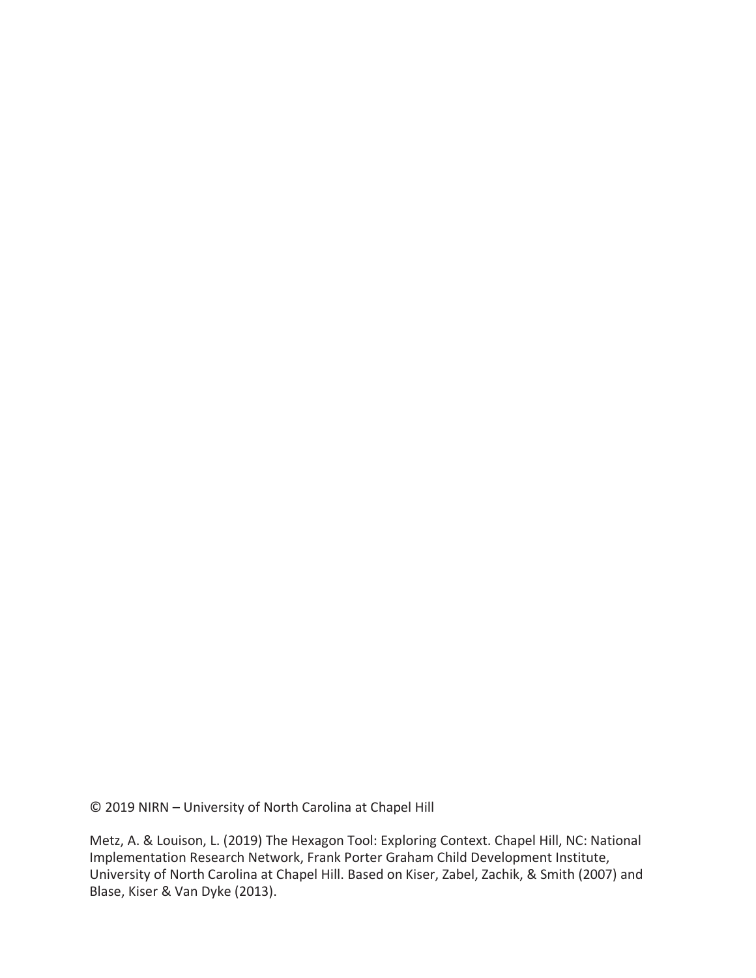© 2019 NIRN – University of North Carolina at Chapel Hill

Metz, A. & Louison, L. (2019) The Hexagon Tool: Exploring Context. Chapel Hill, NC: National Implementation Research Network, Frank Porter Graham Child Development Institute, University of North Carolina at Chapel Hill. Based on Kiser, Zabel, Zachik, & Smith (2007) and Blase, Kiser & Van Dyke (2013).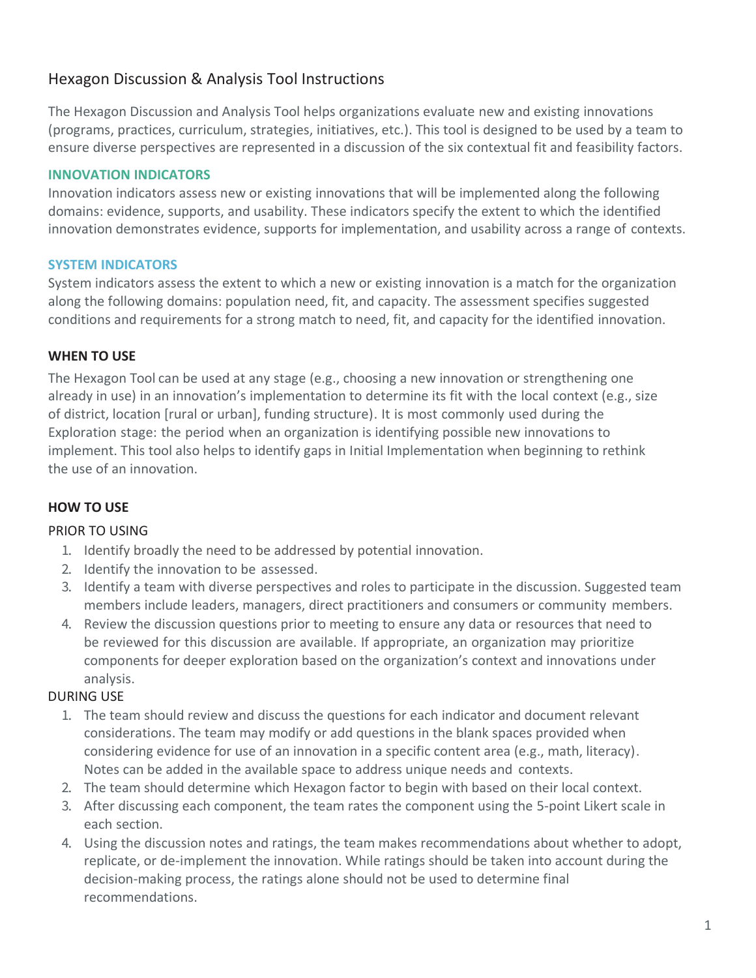## Hexagon Discussion & Analysis Tool Instructions

The Hexagon Discussion and Analysis Tool helps organizations evaluate new and existing innovations (programs, practices, curriculum, strategies, initiatives, etc.). This tool is designed to be used by a team to ensure diverse perspectives are represented in a discussion of the six contextual fit and feasibility factors.

### **INNOVATION INDICATORS**

Innovation indicators assess new or existing innovations that will be implemented along the following domains: evidence, supports, and usability. These indicators specify the extent to which the identified innovation demonstrates evidence, supports for implementation, and usability across a range of contexts.

### **SYSTEM INDICATORS**

System indicators assess the extent to which a new or existing innovation is a match for the organization along the following domains: population need, fit, and capacity. The assessment specifies suggested conditions and requirements for a strong match to need, fit, and capacity for the identified innovation.

### **WHEN TO USE**

The Hexagon Tool can be used at any stage (e.g., choosing a new innovation or strengthening one already in use) in an innovation's implementation to determine its fit with the local context (e.g., size of district, location [rural or urban], funding structure). It is most commonly used during the Exploration stage: the period when an organization is identifying possible new innovations to implement. This tool also helps to identify gaps in Initial Implementation when beginning to rethink the use of an innovation.

### **HOW TO USE**

### PRIOR TO USING

- 1. Identify broadly the need to be addressed by potential innovation.
- 2. Identify the innovation to be assessed.
- 3. Identify a team with diverse perspectives and roles to participate in the discussion. Suggested team members include leaders, managers, direct practitioners and consumers or community members.
- 4. Review the discussion questions prior to meeting to ensure any data or resources that need to be reviewed for this discussion are available. If appropriate, an organization may prioritize components for deeper exploration based on the organization's context and innovations under analysis.

### DURING USE

- 1. The team should review and discuss the questions for each indicator and document relevant considerations. The team may modify or add questions in the blank spaces provided when considering evidence for use of an innovation in a specific content area (e.g., math, literacy). Notes can be added in the available space to address unique needs and contexts.
- 2. The team should determine which Hexagon factor to begin with based on their local context.
- 3. After discussing each component, the team rates the component using the 5-point Likert scale in each section.
- 4. Using the discussion notes and ratings, the team makes recommendations about whether to adopt, replicate, or de-implement the innovation. While ratings should be taken into account during the decision-making process, the ratings alone should not be used to determine final recommendations.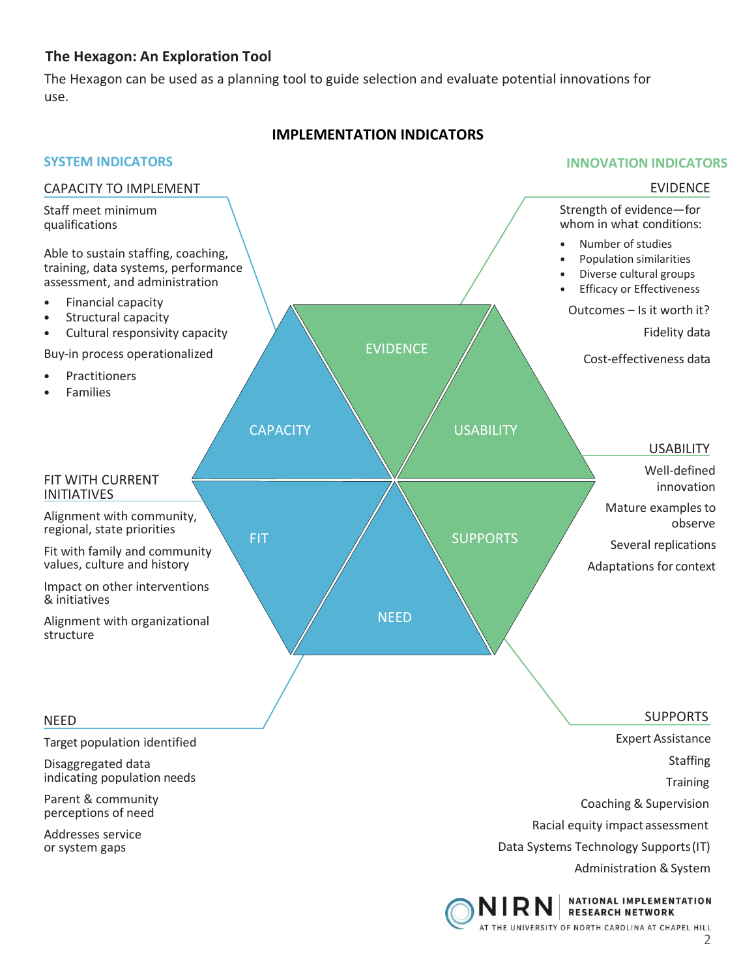### **The Hexagon: An Exploration Tool**

The Hexagon can be used as a planning tool to guide selection and evaluate potential innovations for use.

### **IMPLEMENTATION INDICATORS**

#### **SYSTEM INDICATORS** CAPACITY TO IMPLEMENT Staff meet minimum qualifications Able to sustain staffing, coaching, training, data systems, performance assessment, and administration • Financial capacity • Structural capacity • Cultural responsivity capacity Buy-in process operationalized **Practitioners Families**  EVIDENCE **INNOVATION INDICATORS** EVIDENCE Strength of evidence—for whom in what conditions: • Number of studies • Population similarities • Diverse cultural groups **Efficacy or Effectiveness** Outcomes – Is it worth it? Fidelity data Cost-effectiveness data FIT WITH CURRENT INITIATIVES Alignment with community, regional, state priorities Fit with family and community values, culture and history Impact on other interventions & initiatives Alignment with organizational structure **CAPACITY** FIT NEED **USABILITY** SUPPORTS USABILITY Well-defined innovation Mature examples to observe Several replications Adaptations for context NEED Target population identified Disaggregated data indicating population needs Parent & community perceptions of need Addresses service or system gaps SUPPORTS Expert Assistance Staffing **Training** Coaching & Supervision Racial equity impact assessment Data Systems Technology Supports(IT) Administration & System

NATIONAL IMPLEMENTATION **RESEARCH NETWORK** AT THE UNIVERSITY OF NORTH CAROLINA AT CHAPEL HILL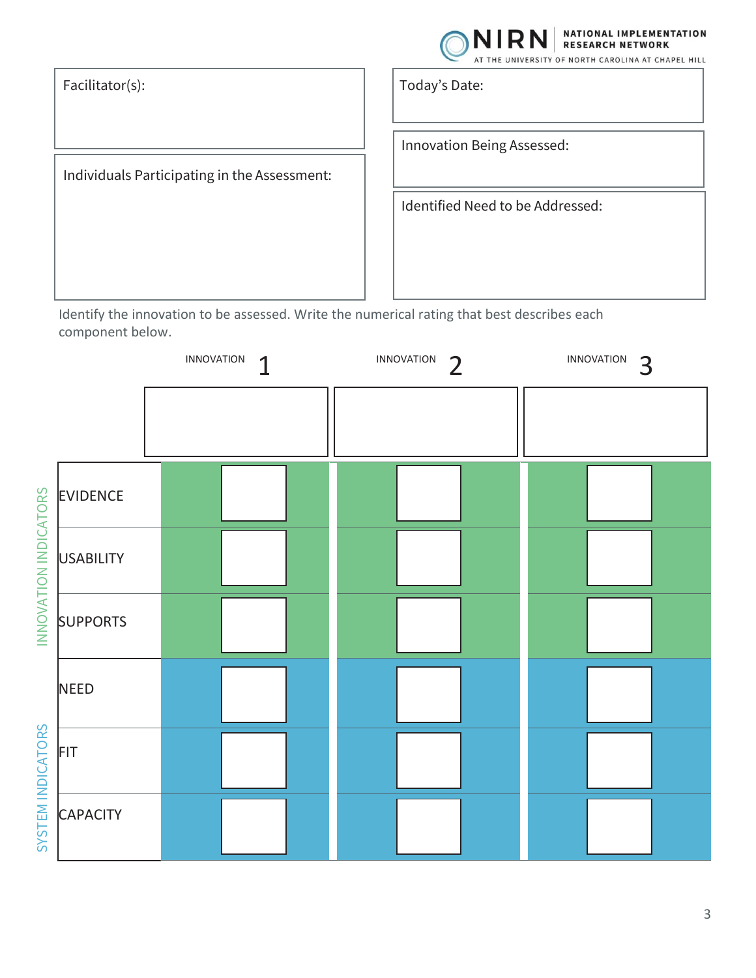

NATIONAL IMPLEMENTATION **RESEARCH NETWORK** 

Individuals Participating in the Assessment:

Facilitator(s): Today's Date:

Innovation Being Assessed:

Identified Need to be Addressed:

Identify the innovation to be assessed. Write the numerical rating that best describes each component below.

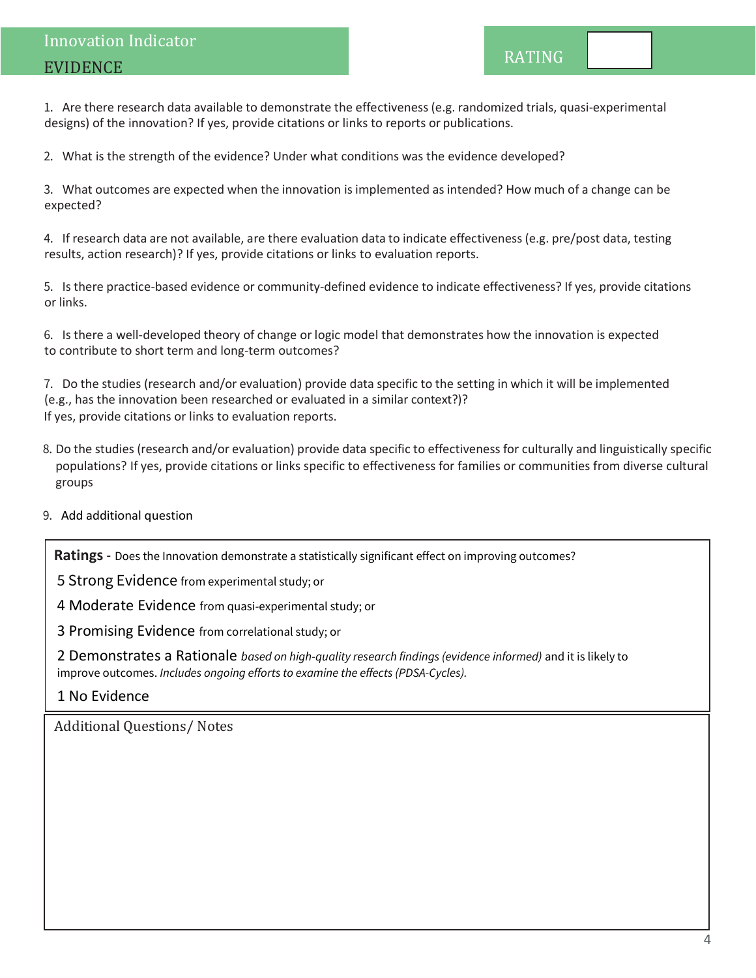1. Are there research data available to demonstrate the effectiveness (e.g. randomized trials, quasi-experimental designs) of the innovation? If yes, provide citations or links to reports or publications.

2. What is the strength of the evidence? Under what conditions was the evidence developed?

3. What outcomes are expected when the innovation is implemented as intended? How much of a change can be expected?

4. If research data are not available, are there evaluation data to indicate effectiveness (e.g. pre/post data, testing results, action research)? If yes, provide citations or links to evaluation reports.

5. Is there practice-based evidence or community-defined evidence to indicate effectiveness? If yes, provide citations or links.

6. Is there a well-developed theory of change or logic model that demonstrates how the innovation is expected to contribute to short term and long-term outcomes?

7. Do the studies (research and/or evaluation) provide data specific to the setting in which it will be implemented (e.g., has the innovation been researched or evaluated in a similar context?)? If yes, provide citations or links to evaluation reports.

- 8. Do the studies (research and/or evaluation) provide data specific to effectiveness for culturally and linguistically specific populations? If yes, provide citations or links specific to effectiveness for families or communities from diverse cultural groups
- 9. Add additional question

**Ratings** - Does the Innovation demonstrate a statistically significant effect on improving outcomes?

5 Strong Evidence from experimental study; or

4 Moderate Evidence from quasi-experimental study; or

3 Promising Evidence from correlational study; or

2 Demonstrates a Rationale *based on high-quality research findings (evidence informed)* and it is likely to improve outcomes. *Includes ongoing efforts to examine the effects (PDSA-Cycles).*

1 No Evidence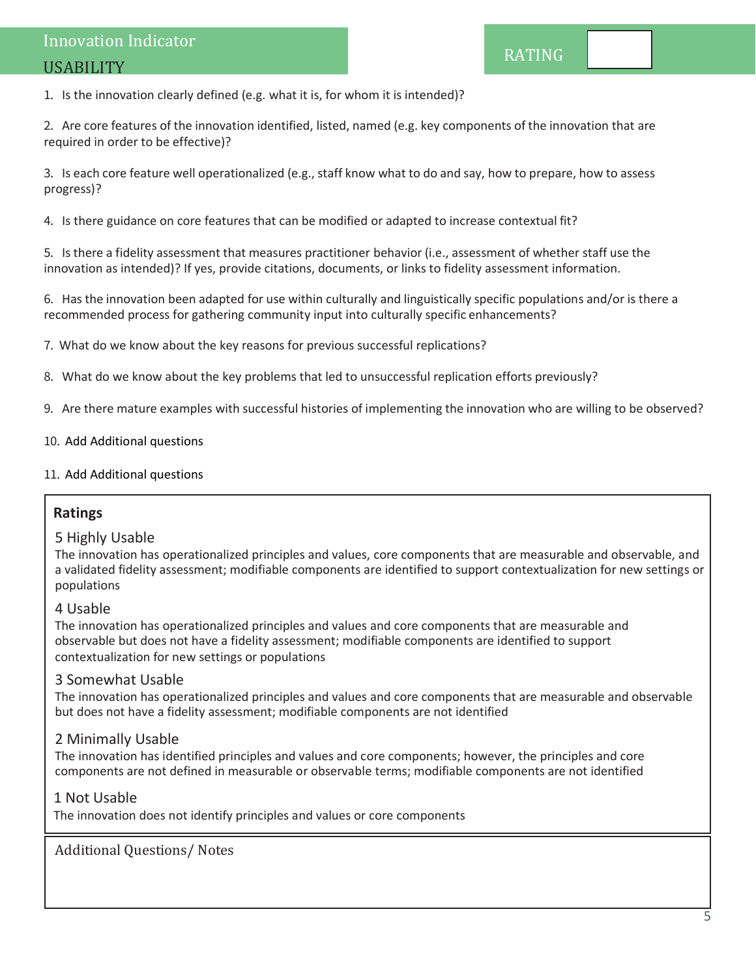1. Is the innovation clearly defined (e.g. what it is, for whom it is intended)?

2. Are core features of the innovation identified, listed, named (e.g. key components of the innovation that are required in order to be effective)?

3. Is each core feature well operationalized (e.g., staff know what to do and say, how to prepare, how to assess progress)?

4. Is there guidance on core features that can be modified or adapted to increase contextual fit?

5. Is there a fidelity assessment that measures practitioner behavior (i.e., assessment of whether staff use the innovation as intended)? If yes, provide citations, documents, or links to fidelity assessment information.

6. Has the innovation been adapted for use within culturally and linguistically specific populations and/or is there a recommended process for gathering community input into culturally specific enhancements?

7. What do we know about the key reasons for previous successful replications?

- 8. What do we know about the key problems that led to unsuccessful replication efforts previously?
- 9. Are there mature examples with successful histories of implementing the innovation who are willing to be observed?

#### 10. Add Additional questions

#### 11. Add Additional questions

### **Ratings**

#### 5 Highly Usable

The innovation has operationalized principles and values, core components that are measurable and observable, and a validated fidelity assessment; modifiable components are identified to support contextualization for new settings or populations

#### 4 Usable

The innovation has operationalized principles and values and core components that are measurable and observable but does not have a fidelity assessment; modifiable components are identified to support contextualization for new settings or populations

#### 3 Somewhat Usable

The innovation has operationalized principles and values and core components that are measurable and observable but does not have a fidelity assessment; modifiable components are not identified

#### 2 Minimally Usable

The innovation has identified principles and values and core components; however, the principles and core components are not defined in measurable or observable terms; modifiable components are not identified

#### 1 Not Usable

The innovation does not identify principles and values or core components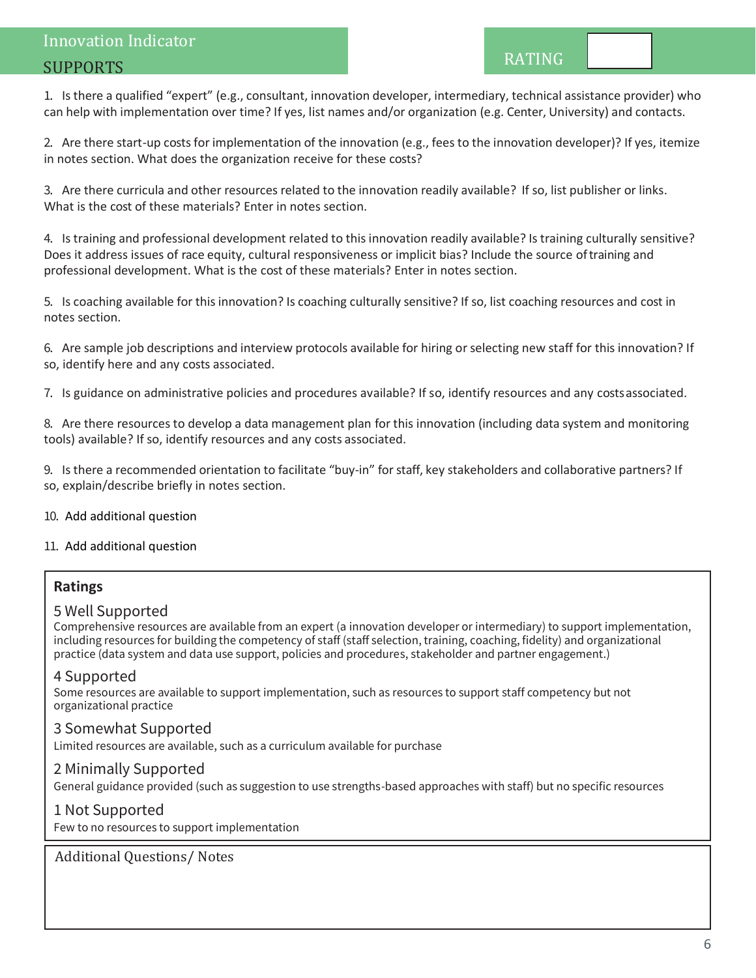## Innovation Indicator SUPPORTS

1. Is there a qualified "expert" (e.g., consultant, innovation developer, intermediary, technical assistance provider) who can help with implementation over time? If yes, list names and/or organization (e.g. Center, University) and contacts.

2. Are there start-up costsfor implementation of the innovation (e.g., fees to the innovation developer)? If yes, itemize in notes section. What does the organization receive for these costs?

3. Are there curricula and other resources related to the innovation readily available? If so, list publisher or links. What is the cost of these materials? Enter in notes section.

4. Is training and professional development related to this innovation readily available? Is training culturally sensitive? Does it address issues of race equity, cultural responsiveness or implicit bias? Include the source oftraining and professional development. What is the cost of these materials? Enter in notes section.

5. Is coaching available for this innovation? Is coaching culturally sensitive? If so, list coaching resources and cost in notes section.

6. Are sample job descriptions and interview protocols available for hiring or selecting new staff for this innovation? If so, identify here and any costs associated.

7. Is guidance on administrative policies and procedures available? If so, identify resources and any costsassociated.

8. Are there resources to develop a data management plan for this innovation (including data system and monitoring tools) available? If so, identify resources and any costs associated.

9. Is there a recommended orientation to facilitate "buy-in" for staff, key stakeholders and collaborative partners? If so, explain/describe briefly in notes section.

10. Add additional question

11. Add additional question

### **Ratings**

#### 5 Well Supported

Comprehensive resources are available from an expert (a innovation developer or intermediary) to support implementation, including resources for building the competency of staff (staff selection, training, coaching, fidelity) and organizational practice (data system and data use support, policies and procedures, stakeholder and partner engagement.)

### 4 Supported

Some resources are available to support implementation, such as resources to support staff competency but not organizational practice

### 3 Somewhat Supported

Limited resources are available, such as a curriculum available for purchase

### 2 Minimally Supported

General guidance provided (such as suggestion to use strengths-based approaches with staff) but no specific resources

### 1 Not Supported

Few to no resources to support implementation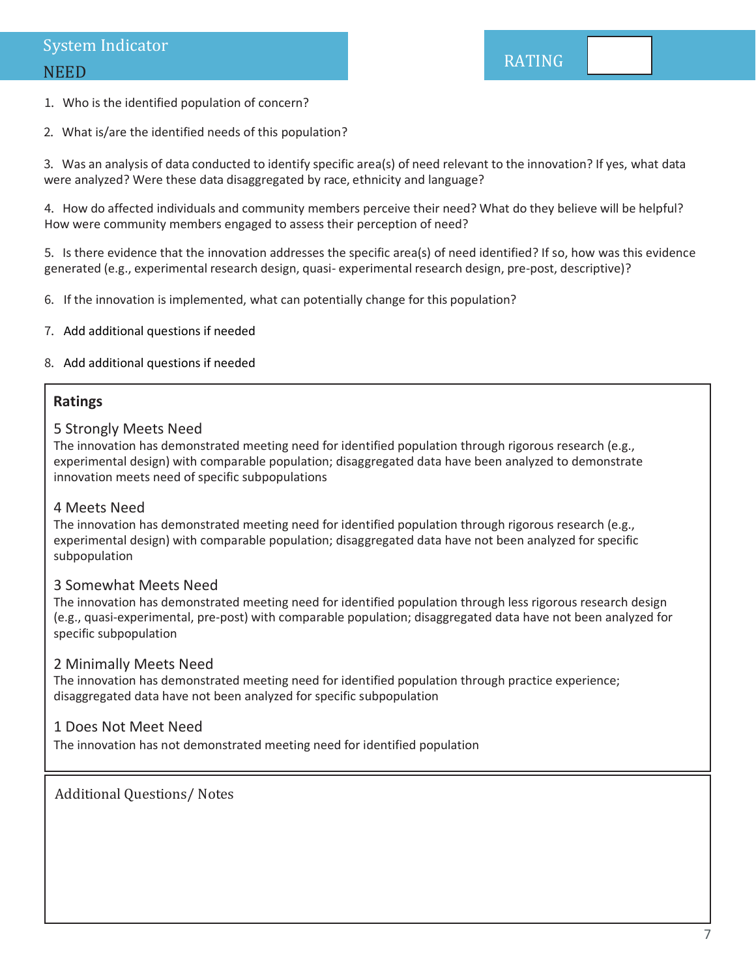#### 1. Who is the identified population of concern?

2. What is/are the identified needs of this population?

3. Was an analysis of data conducted to identify specific area(s) of need relevant to the innovation? If yes, what data were analyzed? Were these data disaggregated by race, ethnicity and language?

4. How do affected individuals and community members perceive their need? What do they believe will be helpful? How were community members engaged to assess their perception of need?

5. Is there evidence that the innovation addresses the specific area(s) of need identified? If so, how was this evidence generated (e.g., experimental research design, quasi- experimental research design, pre-post, descriptive)?

- 6. If the innovation is implemented, what can potentially change for this population?
- 7. Add additional questions if needed

#### 8. Add additional questions if needed

### **Ratings**

#### 5 Strongly Meets Need

The innovation has demonstrated meeting need for identified population through rigorous research (e.g., experimental design) with comparable population; disaggregated data have been analyzed to demonstrate innovation meets need of specific subpopulations

#### 4 Meets Need

The innovation has demonstrated meeting need for identified population through rigorous research (e.g., experimental design) with comparable population; disaggregated data have not been analyzed for specific subpopulation

### 3 Somewhat Meets Need

The innovation has demonstrated meeting need for identified population through less rigorous research design (e.g., quasi-experimental, pre-post) with comparable population; disaggregated data have not been analyzed for specific subpopulation

#### 2 Minimally Meets Need

The innovation has demonstrated meeting need for identified population through practice experience; disaggregated data have not been analyzed for specific subpopulation

#### 1 Does Not Meet Need

The innovation has not demonstrated meeting need for identified population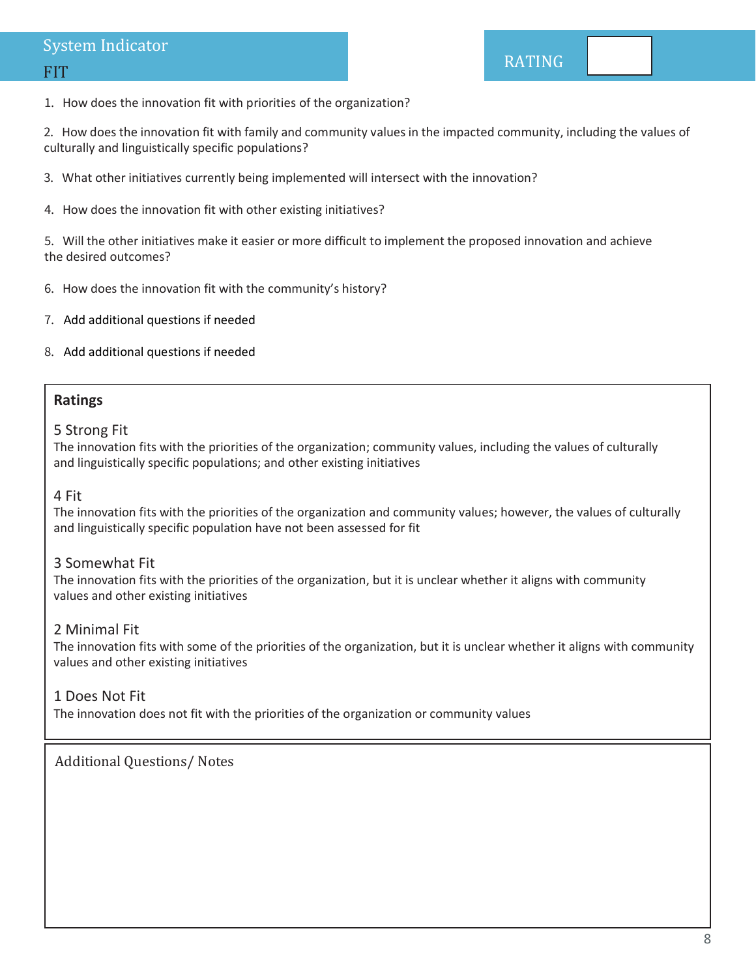## System Indicator

### FIT

1. How does the innovation fit with priorities of the organization?

2. How does the innovation fit with family and community values in the impacted community, including the values of culturally and linguistically specific populations?

- 3. What other initiatives currently being implemented will intersect with the innovation?
- 4. How does the innovation fit with other existing initiatives?

5. Will the other initiatives make it easier or more difficult to implement the proposed innovation and achieve the desired outcomes?

- 6. How does the innovation fit with the community's history?
- 7. Add additional questions if needed
- 8. Add additional questions if needed

### **Ratings**

#### 5 Strong Fit

The innovation fits with the priorities of the organization; community values, including the values of culturally and linguistically specific populations; and other existing initiatives

### 4 Fit

The innovation fits with the priorities of the organization and community values; however, the values of culturally and linguistically specific population have not been assessed for fit

### 3 Somewhat Fit

The innovation fits with the priorities of the organization, but it is unclear whether it aligns with community values and other existing initiatives

### 2 Minimal Fit

The innovation fits with some of the priorities of the organization, but it is unclear whether it aligns with community values and other existing initiatives

### 1 Does Not Fit

The innovation does not fit with the priorities of the organization or community values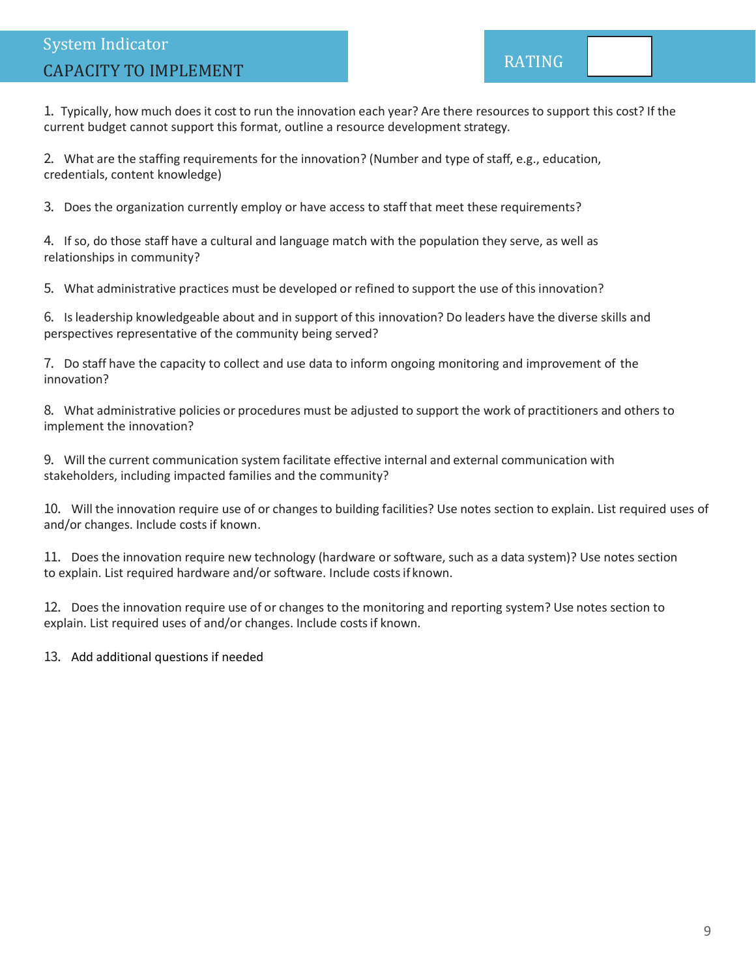# System Indicator CAPACITY TO IMPLEMENT EXAMPLEMENT RATING

1. Typically, how much does it cost to run the innovation each year? Are there resources to support this cost? If the current budget cannot support this format, outline a resource development strategy.

2. What are the staffing requirements for the innovation? (Number and type of staff, e.g., education, credentials, content knowledge)

3. Does the organization currently employ or have access to staff that meet these requirements?

4. If so, do those staff have a cultural and language match with the population they serve, as well as relationships in community?

5. What administrative practices must be developed or refined to support the use of this innovation?

6. Is leadership knowledgeable about and in support of this innovation? Do leaders have the diverse skills and perspectives representative of the community being served?

7. Do staff have the capacity to collect and use data to inform ongoing monitoring and improvement of the innovation?

8. What administrative policies or procedures must be adjusted to support the work of practitioners and others to implement the innovation?

9. Will the current communication system facilitate effective internal and external communication with stakeholders, including impacted families and the community?

10. Will the innovation require use of or changes to building facilities? Use notes section to explain. List required uses of and/or changes. Include costs if known.

11. Does the innovation require new technology (hardware or software, such as a data system)? Use notes section to explain. List required hardware and/or software. Include costs if known.

12. Does the innovation require use of or changes to the monitoring and reporting system? Use notes section to explain. List required uses of and/or changes. Include costs if known.

13. Add additional questions if needed